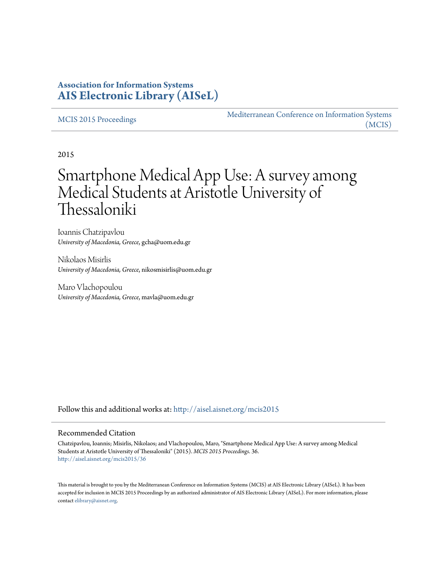# **Association for Information Systems [AIS Electronic Library \(AISeL\)](http://aisel.aisnet.org?utm_source=aisel.aisnet.org%2Fmcis2015%2F36&utm_medium=PDF&utm_campaign=PDFCoverPages)**

#### [MCIS 2015 Proceedings](http://aisel.aisnet.org/mcis2015?utm_source=aisel.aisnet.org%2Fmcis2015%2F36&utm_medium=PDF&utm_campaign=PDFCoverPages)

[Mediterranean Conference on Information Systems](http://aisel.aisnet.org/mcis?utm_source=aisel.aisnet.org%2Fmcis2015%2F36&utm_medium=PDF&utm_campaign=PDFCoverPages) [\(MCIS\)](http://aisel.aisnet.org/mcis?utm_source=aisel.aisnet.org%2Fmcis2015%2F36&utm_medium=PDF&utm_campaign=PDFCoverPages)

2015

# Smartphone Medical App Use: A survey among Medical Students at Aristotle University of Thessaloniki

Ioannis Chatzipavlou *University of Macedonia, Greece*, gcha@uom.edu.gr

Nikolaos Misirlis *University of Macedonia, Greece*, nikosmisirlis@uom.edu.gr

Maro Vlachopoulou *University of Macedonia, Greece*, mavla@uom.edu.gr

Follow this and additional works at: [http://aisel.aisnet.org/mcis2015](http://aisel.aisnet.org/mcis2015?utm_source=aisel.aisnet.org%2Fmcis2015%2F36&utm_medium=PDF&utm_campaign=PDFCoverPages)

#### Recommended Citation

Chatzipavlou, Ioannis; Misirlis, Nikolaos; and Vlachopoulou, Maro, "Smartphone Medical App Use: A survey among Medical Students at Aristotle University of Thessaloniki" (2015). *MCIS 2015 Proceedings*. 36. [http://aisel.aisnet.org/mcis2015/36](http://aisel.aisnet.org/mcis2015/36?utm_source=aisel.aisnet.org%2Fmcis2015%2F36&utm_medium=PDF&utm_campaign=PDFCoverPages)

This material is brought to you by the Mediterranean Conference on Information Systems (MCIS) at AIS Electronic Library (AISeL). It has been accepted for inclusion in MCIS 2015 Proceedings by an authorized administrator of AIS Electronic Library (AISeL). For more information, please contact [elibrary@aisnet.org.](mailto:elibrary@aisnet.org%3E)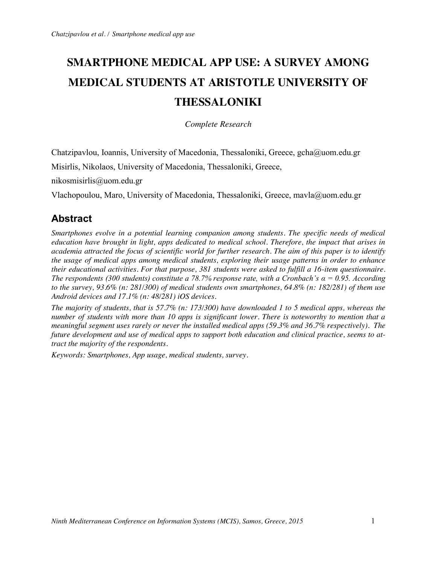# **SMARTPHONE MEDICAL APP USE: A SURVEY AMONG MEDICAL STUDENTS AT ARISTOTLE UNIVERSITY OF THESSALONIKI**

*Complete Research*

Chatzipavlou, Ioannis, University of Macedonia, Thessaloniki, Greece, gcha@uom.edu.gr

Misirlis, Nikolaos, University of Macedonia, Thessaloniki, Greece,

nikosmisirlis@uom.edu.gr

Vlachopoulou, Maro, University of Macedonia, Thessaloniki, Greece, mavla@uom.edu.gr

# **Abstract**

*Smartphones evolve in a potential learning companion among students. The specific needs of medical education have brought in light, apps dedicated to medical school. Therefore, the impact that arises in academia attracted the focus of scientific world for further research. The aim of this paper is to identify the usage of medical apps among medical students, exploring their usage patterns in order to enhance their educational activities. For that purpose, 381 students were asked to fulfill a 16-item questionnaire. The respondents (300 students) constitute a 78.7% response rate, with a Cronbach's α = 0.95. According to the survey, 93.6% (n: 281/300) of medical students own smartphones, 64.8% (n: 182/281) of them use Android devices and 17.1% (n: 48/281) iOS devices.* 

*The majority of students, that is 57.7% (n: 173/300) have downloaded 1 to 5 medical apps, whereas the number of students with more than 10 apps is significant lower. There is noteworthy to mention that a meaningful segment uses rarely or never the installed medical apps (59.3% and 36.7% respectively). The future development and use of medical apps to support both education and clinical practice, seems to attract the majority of the respondents.*

*Keywords: Smartphones, App usage, medical students, survey.*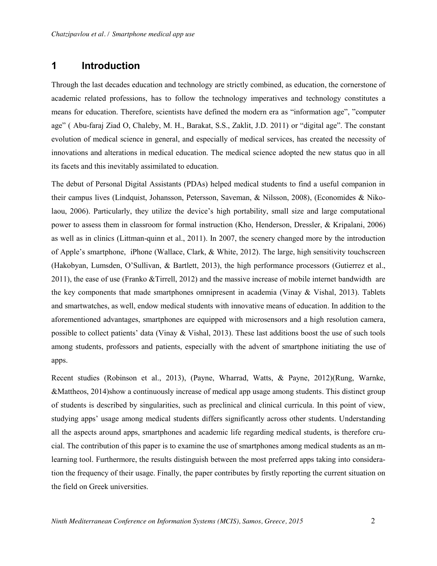# **1 Introduction**

Through the last decades education and technology are strictly combined, as education, the cornerstone of academic related professions, has to follow the technology imperatives and technology constitutes a means for education. Therefore, scientists have defined the modern era as "information age", "computer age" ( Abu-faraj Ziad O, Chaleby, M. H., Barakat, S.S., Zaklit, J.D. 2011) or "digital age". The constant evolution of medical science in general, and especially of medical services, has created the necessity of innovations and alterations in medical education. The medical science adopted the new status quo in all its facets and this inevitably assimilated to education.

The debut of Personal Digital Assistants (PDAs) helped medical students to find a useful companion in their campus lives (Lindquist, Johansson, Petersson, Saveman, & Nilsson, 2008), (Economides & Nikolaou, 2006). Particularly, they utilize the device's high portability, small size and large computational power to assess them in classroom for formal instruction (Kho, Henderson, Dressler, & Kripalani, 2006) as well as in clinics (Littman-quinn et al., 2011). In 2007, the scenery changed more by the introduction of Apple's smartphone, iPhone (Wallace, Clark, & White, 2012). The large, high sensitivity touchscreen (Hakobyan, Lumsden, O'Sullivan, & Bartlett, 2013), the high performance processors (Gutierrez et al., 2011), the ease of use (Franko &Tirrell, 2012) and the massive increase of mobile internet bandwidth are the key components that made smartphones omnipresent in academia (Vinay & Vishal, 2013). Tablets and smartwatches, as well, endow medical students with innovative means of education. In addition to the aforementioned advantages, smartphones are equipped with microsensors and a high resolution camera, possible to collect patients' data (Vinay & Vishal, 2013). These last additions boost the use of such tools among students, professors and patients, especially with the advent of smartphone initiating the use of apps.

Recent studies (Robinson et al., 2013), (Payne, Wharrad, Watts, & Payne, 2012)(Rung, Warnke, &Mattheos, 2014)show a continuously increase of medical app usage among students. This distinct group of students is described by singularities, such as preclinical and clinical curricula. In this point of view, studying apps' usage among medical students differs significantly across other students. Understanding all the aspects around apps, smartphones and academic life regarding medical students, is therefore crucial. The contribution of this paper is to examine the use of smartphones among medical students as an mlearning tool. Furthermore, the results distinguish between the most preferred apps taking into consideration the frequency of their usage. Finally, the paper contributes by firstly reporting the current situation on the field on Greek universities.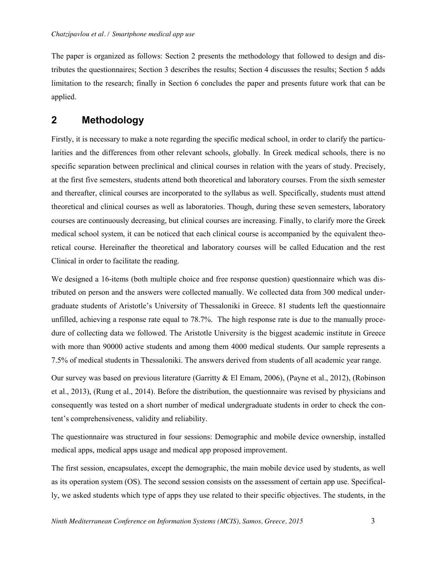The paper is organized as follows: Section 2 presents the methodology that followed to design and distributes the questionnaires; Section 3 describes the results; Section 4 discusses the results; Section 5 adds limitation to the research; finally in Section 6 concludes the paper and presents future work that can be applied.

### **2 Methodology**

Firstly, it is necessary to make a note regarding the specific medical school, in order to clarify the particularities and the differences from other relevant schools, globally. In Greek medical schools, there is no specific separation between preclinical and clinical courses in relation with the years of study. Precisely, at the first five semesters, students attend both theoretical and laboratory courses. From the sixth semester and thereafter, clinical courses are incorporated to the syllabus as well. Specifically, students must attend theoretical and clinical courses as well as laboratories. Though, during these seven semesters, laboratory courses are continuously decreasing, but clinical courses are increasing. Finally, to clarify more the Greek medical school system, it can be noticed that each clinical course is accompanied by the equivalent theoretical course. Hereinafter the theoretical and laboratory courses will be called Education and the rest Clinical in order to facilitate the reading.

We designed a 16-items (both multiple choice and free response question) questionnaire which was distributed on person and the answers were collected manually. We collected data from 300 medical undergraduate students of Aristotle's University of Thessaloniki in Greece. 81 students left the questionnaire unfilled, achieving a response rate equal to 78.7%. The high response rate is due to the manually procedure of collecting data we followed. The Aristotle University is the biggest academic institute in Greece with more than 90000 active students and among them 4000 medical students. Our sample represents a 7.5% of medical students in Thessaloniki. The answers derived from students of all academic year range.

Our survey was based on previous literature (Garritty & El Emam, 2006), (Payne et al., 2012), (Robinson et al., 2013), (Rung et al., 2014). Before the distribution, the questionnaire was revised by physicians and consequently was tested on a short number of medical undergraduate students in order to check the content's comprehensiveness, validity and reliability.

The questionnaire was structured in four sessions: Demographic and mobile device ownership, installed medical apps, medical apps usage and medical app proposed improvement.

The first session, encapsulates, except the demographic, the main mobile device used by students, as well as its operation system (OS). The second session consists on the assessment of certain app use. Specifically, we asked students which type of apps they use related to their specific objectives. The students, in the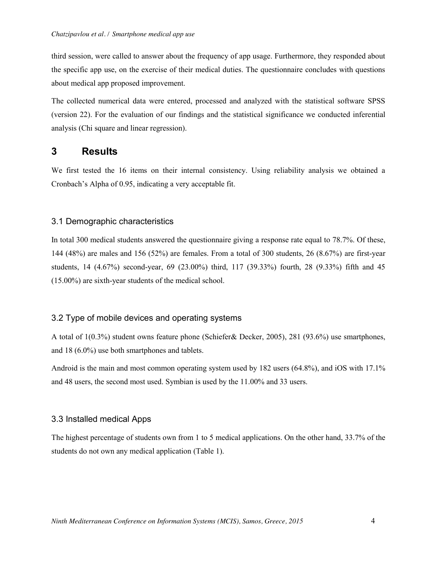third session, were called to answer about the frequency of app usage. Furthermore, they responded about the specific app use, on the exercise of their medical duties. The questionnaire concludes with questions about medical app proposed improvement.

The collected numerical data were entered, processed and analyzed with the statistical software SPSS (version 22). For the evaluation of our findings and the statistical significance we conducted inferential analysis (Chi square and linear regression).

### **3 Results**

We first tested the 16 items on their internal consistency. Using reliability analysis we obtained a Cronbach's Alpha of 0.95, indicating a very acceptable fit.

#### 3.1 Demographic characteristics

In total 300 medical students answered the questionnaire giving a response rate equal to 78.7%. Of these, 144 (48%) are males and 156 (52%) are females. From a total of 300 students, 26 (8.67%) are first-year students, 14 (4.67%) second-year, 69 (23.00%) third, 117 (39.33%) fourth, 28 (9.33%) fifth and 45 (15.00%) are sixth-year students of the medical school.

#### 3.2 Type of mobile devices and operating systems

A total of 1(0.3%) student owns feature phone (Schiefer& Decker, 2005), 281 (93.6%) use smartphones, and 18 (6.0%) use both smartphones and tablets.

Android is the main and most common operating system used by 182 users (64.8%), and iOS with 17.1% and 48 users, the second most used. Symbian is used by the 11.00% and 33 users.

#### 3.3 Installed medical Apps

The highest percentage of students own from 1 to 5 medical applications. On the other hand, 33.7% of the students do not own any medical application (Table 1).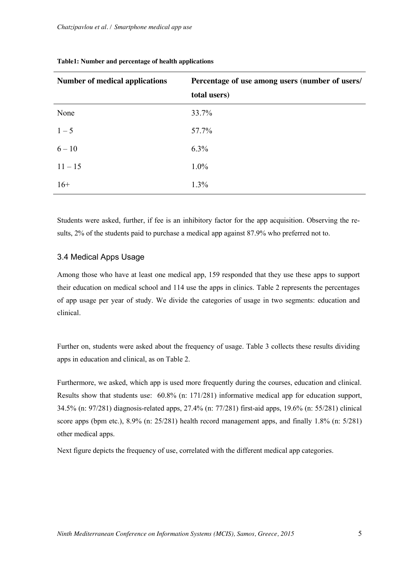| <b>Number of medical applications</b> | Percentage of use among users (number of users/ |  |
|---------------------------------------|-------------------------------------------------|--|
|                                       | total users)                                    |  |
| None                                  | 33.7%                                           |  |
| $1 - 5$                               | 57.7%                                           |  |
| $6 - 10$                              | $6.3\%$                                         |  |
| $11 - 15$                             | $1.0\%$                                         |  |
| $16+$                                 | 1.3%                                            |  |

#### **Table1: Number and percentage of health applications**

Students were asked, further, if fee is an inhibitory factor for the app acquisition. Observing the results, 2% of the students paid to purchase a medical app against 87.9% who preferred not to.

#### 3.4 Medical Apps Usage

Among those who have at least one medical app, 159 responded that they use these apps to support their education on medical school and 114 use the apps in clinics. Table 2 represents the percentages of app usage per year of study. We divide the categories of usage in two segments: education and clinical.

Further on, students were asked about the frequency of usage. Table 3 collects these results dividing apps in education and clinical, as on Table 2.

Furthermore, we asked, which app is used more frequently during the courses, education and clinical. Results show that students use: 60.8% (n: 171/281) informative medical app for education support, 34.5% (n: 97/281) diagnosis-related apps, 27.4% (n: 77/281) first-aid apps, 19.6% (n: 55/281) clinical score apps (bpm etc.), 8.9% (n: 25/281) health record management apps, and finally 1.8% (n: 5/281) other medical apps.

Next figure depicts the frequency of use, correlated with the different medical app categories.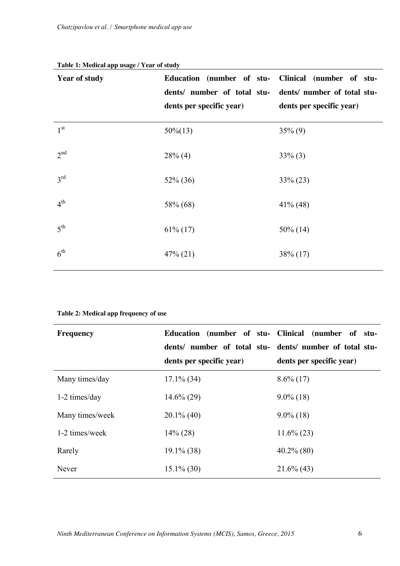| <b>Year of study</b> | Education (number of stu- Clinical (number of stu-<br>dents/ number of total stu-<br>dents per specific year) | dents/ number of total stu-<br>dents per specific year) |
|----------------------|---------------------------------------------------------------------------------------------------------------|---------------------------------------------------------|
| 1 <sup>st</sup>      | $50\%(13)$                                                                                                    | $35\%$ (9)                                              |
| 2 <sup>nd</sup>      | $28\%$ (4)                                                                                                    | $33\%$ (3)                                              |
| $3^{\text{rd}}$      | $52\%$ (36)                                                                                                   | $33\% (23)$                                             |
| $4^{\text{th}}$      | 58% (68)                                                                                                      | $41\%$ (48)                                             |
| 5 <sup>th</sup>      | $61\%$ (17)                                                                                                   | $50\%$ (14)                                             |
| $6^{\text{th}}$      | $47\% (21)$                                                                                                   | $38\%$ (17)                                             |

#### **Table 1: Medical app usage / Year of study**

| <b>Frequency</b> | Education (number of stu- Clinical (number of stu-<br>dents/ number of total stu- dents/ number of total stu- |                          |
|------------------|---------------------------------------------------------------------------------------------------------------|--------------------------|
|                  | dents per specific year)                                                                                      | dents per specific year) |
| Many times/day   | $17.1\%$ (34)                                                                                                 | $8.6\%$ (17)             |
| 1-2 times/day    | $14.6\% (29)$                                                                                                 | $9.0\%$ (18)             |
| Many times/week  | $20.1\%$ (40)                                                                                                 | $9.0\%$ (18)             |
| 1-2 times/week   | $14\%$ (28)                                                                                                   | $11.6\% (23)$            |
| Rarely           | $19.1\%$ (38)                                                                                                 | $40.2\%$ (80)            |
| Never            | $15.1\%$ (30)                                                                                                 | $21.6\%$ (43)            |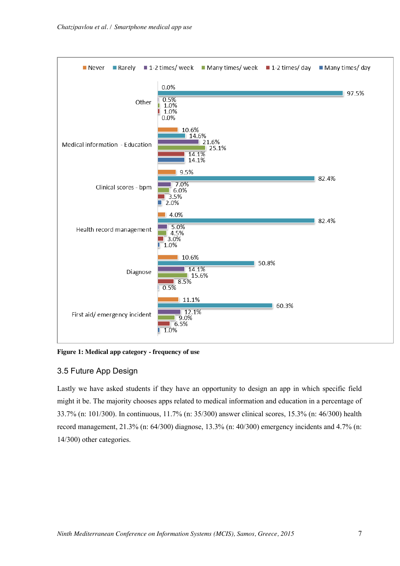

**Figure 1: Medical app category - frequency of use**

### 3.5 Future App Design

Lastly we have asked students if they have an opportunity to design an app in which specific field might it be. The majority chooses apps related to medical information and education in a percentage of 33.7% (n: 101/300). In continuous, 11.7% (n: 35/300) answer clinical scores, 15.3% (n: 46/300) health record management, 21.3% (n: 64/300) diagnose, 13.3% (n: 40/300) emergency incidents and 4.7% (n: 14/300) other categories.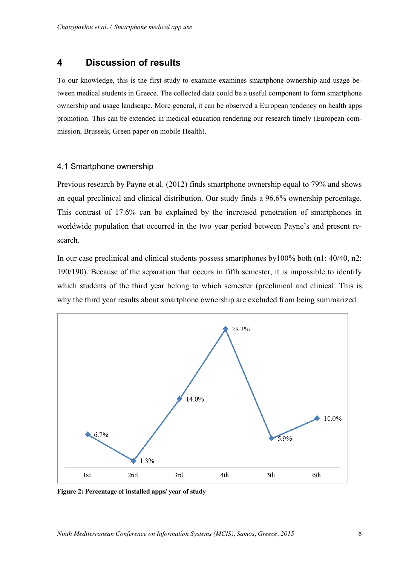# **4 Discussion of results**

To our knowledge, this is the first study to examine examines smartphone ownership and usage between medical students in Greece. The collected data could be a useful component to form smartphone ownership and usage landscape. More general, it can be observed a European tendency on health apps promotion. This can be extended in medical education rendering our research timely (European commission, Brussels, Green paper on mobile Health).

### 4.1 Smartphone ownership

Previous research by Payne et al. (2012) finds smartphone ownership equal to 79% and shows an equal preclinical and clinical distribution. Our study finds a 96.6% ownership percentage. This contrast of 17.6% can be explained by the increased penetration of smartphones in worldwide population that occurred in the two year period between Payne's and present research.

In our case preclinical and clinical students possess smartphones by100% both (n1: 40/40, n2: 190/190). Because of the separation that occurs in fifth semester, it is impossible to identify which students of the third year belong to which semester (preclinical and clinical. This is why the third year results about smartphone ownership are excluded from being summarized.



**Figure 2: Percentage of installed apps/ year of study**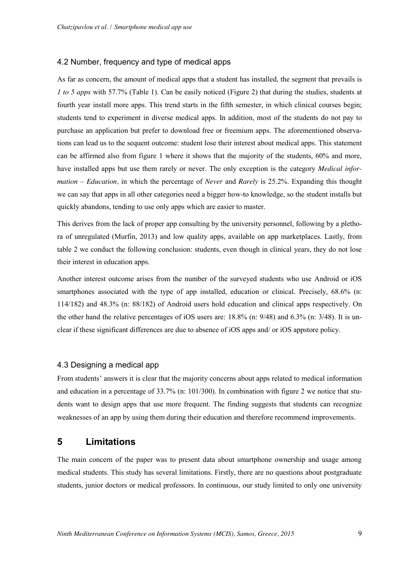#### 4.2 Number, frequency and type of medical apps

As far as concern, the amount of medical apps that a student has installed, the segment that prevails is *1 to 5 apps* with 57.7% (Table 1). Can be easily noticed (Figure 2) that during the studies, students at fourth year install more apps. This trend starts in the fifth semester, in which clinical courses begin; students tend to experiment in diverse medical apps. In addition, most of the students do not pay to purchase an application but prefer to download free or freemium apps. The aforementioned observations can lead us to the sequent outcome: student lose their interest about medical apps. This statement can be affirmed also from figure 1 where it shows that the majority of the students, 60% and more, have installed apps but use them rarely or never. The only exception is the category *Medical information – Education,* in which the percentage of *Never* and *Rarely* is 25.2%. Expanding this thought we can say that apps in all other categories need a bigger how-to knowledge, so the student installs but quickly abandons, tending to use only apps which are easier to master.

This derives from the lack of proper app consulting by the university personnel, following by a plethora of unregulated (Murfin, 2013) and low quality apps, available on app marketplaces. Lastly, from table 2 we conduct the following conclusion: students, even though in clinical years, they do not lose their interest in education apps.

Another interest outcome arises from the number of the surveyed students who use Android or iOS smartphones associated with the type of app installed, education or clinical. Precisely, 68.6% (n: 114/182) and 48.3% (n: 88/182) of Android users hold education and clinical apps respectively. On the other hand the relative percentages of iOS users are: 18.8% (n: 9/48) and 6.3% (n: 3/48). It is unclear if these significant differences are due to absence of iOS apps and/ or iOS appstore policy.

#### 4.3 Designing a medical app

From students' answers it is clear that the majority concerns about apps related to medical information and education in a percentage of 33.7% (n: 101/300). In combination with figure 2 we notice that students want to design apps that use more frequent. The finding suggests that students can recognize weaknesses of an app by using them during their education and therefore recommend improvements.

### **5 Limitations**

The main concern of the paper was to present data about smartphone ownership and usage among medical students. This study has several limitations. Firstly, there are no questions about postgraduate students, junior doctors or medical professors. In continuous, our study limited to only one university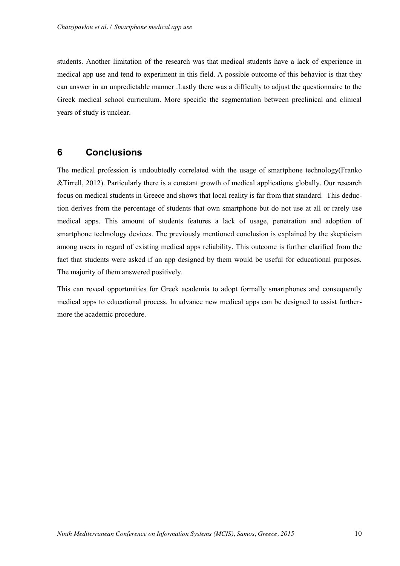students. Another limitation of the research was that medical students have a lack of experience in medical app use and tend to experiment in this field. A possible outcome of this behavior is that they can answer in an unpredictable manner .Lastly there was a difficulty to adjust the questionnaire to the Greek medical school curriculum. More specific the segmentation between preclinical and clinical years of study is unclear.

## **6 Conclusions**

The medical profession is undoubtedly correlated with the usage of smartphone technology(Franko &Tirrell, 2012). Particularly there is a constant growth of medical applications globally. Our research focus on medical students in Greece and shows that local reality is far from that standard. This deduction derives from the percentage of students that own smartphone but do not use at all or rarely use medical apps. This amount of students features a lack of usage, penetration and adoption of smartphone technology devices. The previously mentioned conclusion is explained by the skepticism among users in regard of existing medical apps reliability. This outcome is further clarified from the fact that students were asked if an app designed by them would be useful for educational purposes. The majority of them answered positively.

This can reveal opportunities for Greek academia to adopt formally smartphones and consequently medical apps to educational process. In advance new medical apps can be designed to assist furthermore the academic procedure.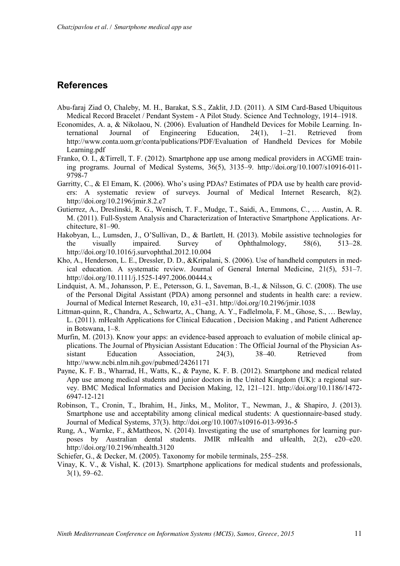# **References**

- Abu-faraj Ziad O, Chaleby, M. H., Barakat, S.S., Zaklit, J.D. (2011). A SIM Card-Based Ubiquitous Medical Record Bracelet / Pendant System - A Pilot Study. Science And Technology, 1914–1918.
- Economides, A. a, & Nikolaou, N. (2006). Evaluation of Handheld Devices for Mobile Learning. International Journal of Engineering Education, 24(1), 1–21. Retrieved from http://www.conta.uom.gr/conta/publications/PDF/Evaluation of Handheld Devices for Mobile Learning.pdf
- Franko, O. I., &Tirrell, T. F. (2012). Smartphone app use among medical providers in ACGME training programs. Journal of Medical Systems, 36(5), 3135–9. http://doi.org/10.1007/s10916-011- 9798-7
- Garritty, C., & El Emam, K. (2006). Who's using PDAs? Estimates of PDA use by health care providers: A systematic review of surveys. Journal of Medical Internet Research, 8(2). http://doi.org/10.2196/jmir.8.2.e7
- Gutierrez, A., Dreslinski, R. G., Wenisch, T. F., Mudge, T., Saidi, A., Emmons, C., … Austin, A. R. M. (2011). Full-System Analysis and Characterization of Interactive Smartphone Applications. Architecture, 81–90.
- Hakobyan, L., Lumsden, J., O'Sullivan, D., & Bartlett, H. (2013). Mobile assistive technologies for the visually impaired. Survey of Ophthalmology, 58(6), 513–28. http://doi.org/10.1016/j.survophthal.2012.10.004
- Kho, A., Henderson, L. E., Dressler, D. D., &Kripalani, S. (2006). Use of handheld computers in medical education. A systematic review. Journal of General Internal Medicine, 21(5), 531–7. http://doi.org/10.1111/j.1525-1497.2006.00444.x
- Lindquist, A. M., Johansson, P. E., Petersson, G. I., Saveman, B.-I., & Nilsson, G. C. (2008). The use of the Personal Digital Assistant (PDA) among personnel and students in health care: a review. Journal of Medical Internet Research, 10, e31–e31. http://doi.org/10.2196/jmir.1038
- Littman-quinn, R., Chandra, A., Schwartz, A., Chang, A. Y., Fadlelmola, F. M., Ghose, S., … Bewlay, L. (2011). mHealth Applications for Clinical Education , Decision Making , and Patient Adherence in Botswana, 1–8.
- Murfin, M. (2013). Know your apps: an evidence-based approach to evaluation of mobile clinical applications. The Journal of Physician Assistant Education : The Official Journal of the Physician Assistant Education Association, 24(3), 38–40. Retrieved from http://www.ncbi.nlm.nih.gov/pubmed/24261171
- Payne, K. F. B., Wharrad, H., Watts, K., & Payne, K. F. B. (2012). Smartphone and medical related App use among medical students and junior doctors in the United Kingdom (UK): a regional survey. BMC Medical Informatics and Decision Making, 12, 121–121. http://doi.org/10.1186/1472- 6947-12-121
- Robinson, T., Cronin, T., Ibrahim, H., Jinks, M., Molitor, T., Newman, J., & Shapiro, J. (2013). Smartphone use and acceptability among clinical medical students: A questionnaire-based study. Journal of Medical Systems, 37(3). http://doi.org/10.1007/s10916-013-9936-5
- Rung, A., Warnke, F., &Mattheos, N. (2014). Investigating the use of smartphones for learning purposes by Australian dental students. JMIR mHealth and uHealth, 2(2), e20–e20. http://doi.org/10.2196/mhealth.3120
- Schiefer, G., & Decker, M. (2005). Taxonomy for mobile terminals, 255–258.
- Vinay, K. V., & Vishal, K. (2013). Smartphone applications for medical students and professionals, 3(1), 59–62.